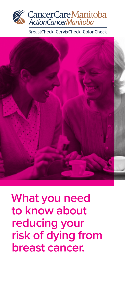

BreastCheck CervixCheck ColonCheck



**What you need to know about reducing your risk of dying from breast cancer.**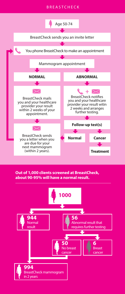#### BREASTCHECK



#### **Out of 1,000 clients screened at BreastCheck, about 90-95% will have a normal result.**

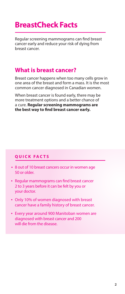## **BreastCheck Facts**

Regular screening mammograms can find breast cancer early and reduce your risk of dying from breast cancer.

## **What is breast cancer?**

Breast cancer happens when too many cells grow in one area of the breast and form a mass. It is the most common cancer diagnosed in Canadian women.

When breast cancer is found early, there may be more treatment options and a better chance of a cure. **Regular screening mammograms are the best way to find breast cancer early.**

#### **QUICK FACTS**

- 8 out of 10 breast cancers occur in women age 50 or older.
- Regular mammograms can find breast cancer 2 to 3 years before it can be felt by you or your doctor.
- Only 10% of women diagnosed with breast cancer have a family history of breast cancer.
- Every year around 900 Manitoban women are diagnosed with breast cancer and 200 will die from the disease.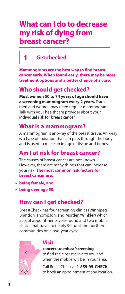## **What can I do to decrease my risk of dying from breast cancer?**

## **1 Get checked**

**Mammograms are the best way to find breast cancer early. When found early, there may be more treatment options and a better chance of a cure.**

## **Who should get checked?**

**Most women 50 to 74 years of age should have a screening mammogram every 2 years.** Trans men and women may need regular mammograms. Talk with your healthcare provider about your individual risk for breast cancer.

## **What is a mammogram?**

A mammogram is an x-ray of the breast tissue. An x-ray is a type of radiation that can pass through the body and is used to make an image of tissue and bones.

## **Am I at risk for breast cancer?**

The causes of breast cancer are not known. However, there are many things that can increase your risk. **The most common risk factors for breast cancer are:**

- **being female, and**
- **being over age 50.**

## **How can I get checked?**

BreastCheck has four screening clinics (Winnipeg, Brandon, Thompson, and Morden/Winkler) which accept appointments year-round and two mobile clinics that travel to nearly 90 rural and northern communities on a two-year cycle.



#### **Visit**

**cancercare.mb.ca/screening** to find the closest clinic to you and when the mobile will be in your area.

Call BreastCheck at **1-855-95-CHECK** to book an appointment at any location.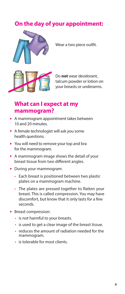## **On the day of your appointment:**



Wear a two piece outfit.



Do **not** wear deodorant, talcum powder or lotion on your breasts or underarms.

## **What can I expect at my mammogram?**

- A mammogram appointment takes between 10 and 20 minutes.
- A female technologist will ask you some health questions.
- ▶ You will need to remove your top and bra for the mammogram.
- A mammogram image shows the detail of your breast tissue from two different angles.
- During your mammogram:
	- Each breast is positioned between two plastic plates on a mammogram machine.
	- The plates are pressed together to flatten your breast. This is called compression. You may have discomfort, but know that it only lasts for a few seconds.
- Breast compression:
	- is not harmful to your breasts.
	- is used to get a clear image of the breast tissue.
	- reduces the amount of radiation needed for the mammogram.
	- is tolerable for most clients.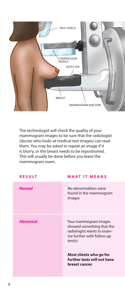

The technologist will check the quality of your mammogram images to be sure that the radiologist (doctor who looks at medical test images) can read them. You may be asked to repeat an image if it is blurry, or the breast needs to be repositioned. This will usually be done before you leave the mammogram room.

| <b>RESULT</b>   | <b>WHAT IT MEANS</b>                                                                                                      |
|-----------------|---------------------------------------------------------------------------------------------------------------------------|
| <b>Normal</b>   | No abnormalities were<br>found in the mammogram<br>images                                                                 |
| <b>Abnormal</b> | Your mammogram images<br>showed something that the<br>radiologist wants to exam-<br>ine further with follow-up<br>test(s) |
|                 | Most clients who go for<br>further tests will not have<br>breast cancer.                                                  |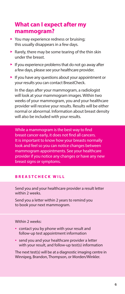## **What can I expect after my mammogram?**

- You may experience redness or bruising; this usually disappears in a few days.
- Rarely, there may be some tearing of the thin skin under the breast.
- $\blacktriangleright$  If you experience problems that do not go away after a few days, please see your healthcare provider.
- $\blacktriangleright$  If you have any questions about your appointment or your results you can contact BreastCheck.

 In the days after your mammogram, a radiologist will look at your mammogram images. Within two weeks of your mammogram, you and your healthcare provider will receive your results. Results will be either normal or abnormal. Information about breast density will also be included with your results.

While a mammogram is the best way to find breast cancer early, it does not find all cancers. It is important to know how your breasts normally look and feel so you can notice changes between mammogram appointments. See your healthcare provider if you notice any changes or have any new breast signs or symptoms.

#### **BREASTCHECK WILL**

Send you and your healthcare provider a result letter within 2 weeks.

Send you a letter within 2 years to remind you to book your next mammogram.

Within 2 weeks:

- contact you by phone with your result and follow-up test appointment information
- send you and your healthcare provider a letter with your result, and follow-up test(s) information

The next test(s) will be at a diagnostic imaging centre in Winnipeg, Brandon, Thompson, or Morden/Winkler.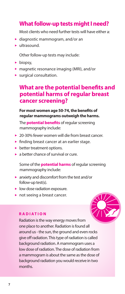## **What follow-up tests might I need?**

Most clients who need further tests will have either a:

- ▶ diagnostic mammogram, and/or an
- $\blacktriangleright$  ultrasound.

Other follow-up tests may include:

- $\blacktriangleright$  biopsy,
- magnetic resonance imaging (MRI), and/or
- surgical consultation.

## **What are the potential benefits and potential harms of regular breast cancer screening?**

#### **For most women age 50-74, the benefits of regular mammograms outweigh the harms.**

The **potential benefits** of regular screening mammography include:

- ▶ 20-30% fewer women will die from breast cancer.
- **finding breast cancer at an earlier stage.**
- $\blacktriangleright$  better treatment options.
- a better chance of survival or cure.

 Some of the **potential harms** of regular screening mammography include:

- anxiety and discomfort from the test and/or follow-up test(s).
- **IDO** low dose radiation exposure.
- not seeing a breast cancer.

#### **RADIATION**

Radiation is the way energy moves from one place to another. Radiation is found all around us - the sun, the ground and even rocks give off radiation. This type of radiation is called background radiation. A mammogram uses a low dose of radiation. The dose of radiation from a mammogram is about the same as the dose of background radiation you would receive in two months.

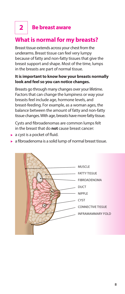# **2 Be breast aware**

## **What is normal for my breasts?**

Breast tissue extends across your chest from the underarms. Breast tissue can feel very lumpy because of fatty and non-fatty tissues that give the breast support and shape. Most of the time, lumps in the breasts are part of normal tissue.

#### **It is important to know how your breasts normally look and feel so you can notice changes.**

 Breasts go through many changes over your lifetime. Factors that can change the lumpiness or way your breasts feel include age, hormone levels, and breast-feeding. For example, as a woman ages, the balance between the amount of fatty and non-fatty tissue changes. With age, breasts have more fatty tissue.

 Cysts and fibroadenomas are common lumps felt in the breast that do **not** cause breast cancer:

- $\blacktriangleright$  a cyst is a pocket of fluid.
- $\triangleright$  a fibroadenoma is a solid lump of normal breast tissue.

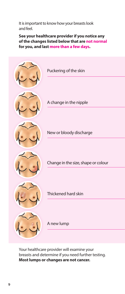It is important to know how your breasts look and feel.

**See your healthcare provider if you notice any of the changes listed below that are not normal for you, and last more than a few days.**



 Your healthcare provider will examine your breasts and determine if you need further testing. **Most lumps or changes are not cancer.**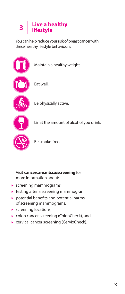# **Live a healthy lifestyle 3**

You can help reduce your risk of breast cancer with these healthy lifestyle behaviours:



Visit **cancercare.mb.ca/screening** for more information about:

- screening mammograms,
- $\blacktriangleright$  testing after a screening mammogram,
- potential benefits and potential harms of screening mammograms,
- screening locations,
- colon cancer screening (ColonCheck), and
- ▶ cervical cancer screening (CervixCheck).